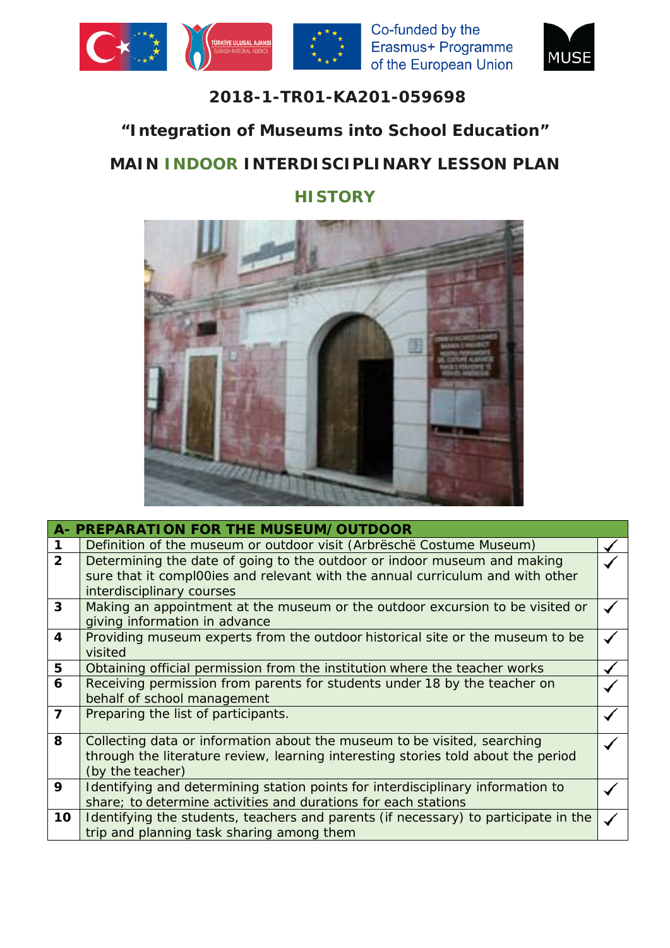





## **2018-1-TR01-KA201-059698**

## **"Integration of Museums into School Education"**

## **MAIN INDOOR INTERDISCIPLINARY LESSON PLAN**

## **HISTORY**



|                | A- PREPARATION FOR THE MUSEUM/OUTDOOR                                               |  |
|----------------|-------------------------------------------------------------------------------------|--|
|                | Definition of the museum or outdoor visit (Arbresche Costume Museum)                |  |
| $\overline{2}$ | Determining the date of going to the outdoor or indoor museum and making            |  |
|                | sure that it compl00ies and relevant with the annual curriculum and with other      |  |
|                | interdisciplinary courses                                                           |  |
| 3              | Making an appointment at the museum or the outdoor excursion to be visited or       |  |
|                | giving information in advance                                                       |  |
| 4              | Providing museum experts from the outdoor historical site or the museum to be       |  |
|                | visited                                                                             |  |
| 5              | Obtaining official permission from the institution where the teacher works          |  |
| 6              | Receiving permission from parents for students under 18 by the teacher on           |  |
|                | behalf of school management                                                         |  |
| $\overline{7}$ | Preparing the list of participants.                                                 |  |
|                |                                                                                     |  |
| 8              | Collecting data or information about the museum to be visited, searching            |  |
|                | through the literature review, learning interesting stories told about the period   |  |
|                | (by the teacher)                                                                    |  |
| 9              | Identifying and determining station points for interdisciplinary information to     |  |
|                | share; to determine activities and durations for each stations                      |  |
| 10             | Identifying the students, teachers and parents (if necessary) to participate in the |  |
|                | trip and planning task sharing among them                                           |  |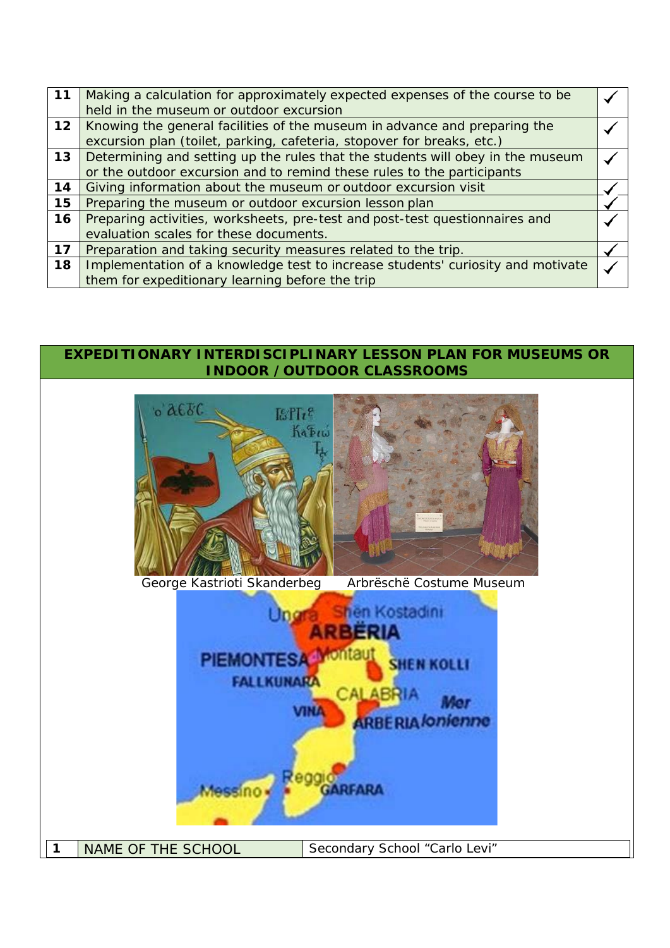| 11              | Making a calculation for approximately expected expenses of the course to be    |  |
|-----------------|---------------------------------------------------------------------------------|--|
|                 | held in the museum or outdoor excursion                                         |  |
| 12 <sub>2</sub> | Knowing the general facilities of the museum in advance and preparing the       |  |
|                 | excursion plan (toilet, parking, cafeteria, stopover for breaks, etc.)          |  |
| 13              | Determining and setting up the rules that the students will obey in the museum  |  |
|                 | or the outdoor excursion and to remind these rules to the participants          |  |
| 14              | Giving information about the museum or outdoor excursion visit                  |  |
| 15              | Preparing the museum or outdoor excursion lesson plan                           |  |
| 16              | Preparing activities, worksheets, pre-test and post-test questionnaires and     |  |
|                 | evaluation scales for these documents.                                          |  |
| 17              | Preparation and taking security measures related to the trip.                   |  |
| 18              | Implementation of a knowledge test to increase students' curiosity and motivate |  |
|                 | them for expeditionary learning before the trip                                 |  |

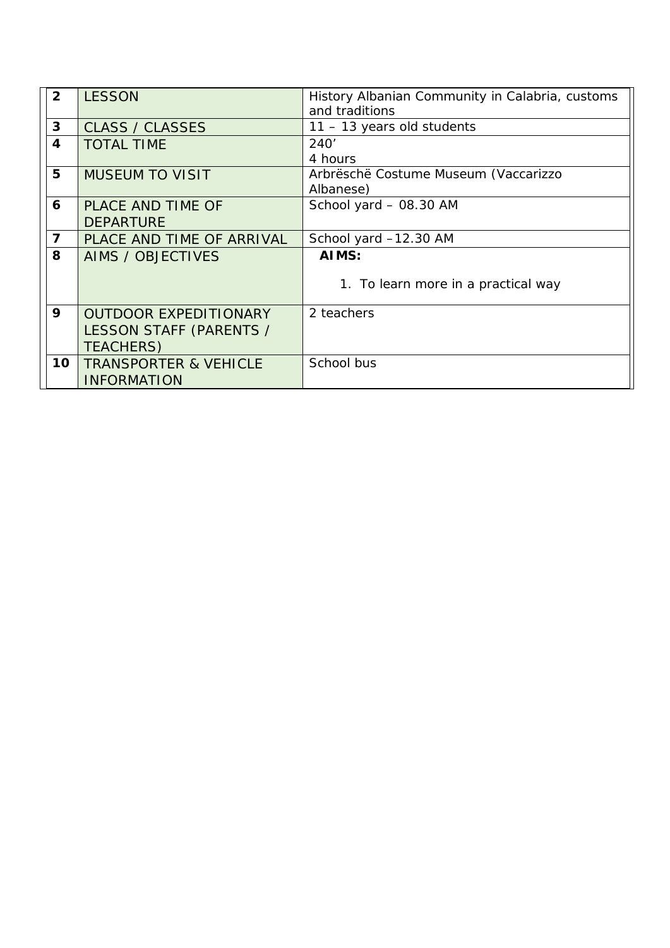| $\overline{2}$          | <b>LESSON</b>                    | History Albanian Community in Calabria, customs |
|-------------------------|----------------------------------|-------------------------------------------------|
|                         |                                  | and traditions                                  |
| $\mathbf{3}$            | <b>CLASS / CLASSES</b>           | $11 - 13$ years old students                    |
| $\overline{\mathbf{4}}$ | <b>TOTAL TIME</b>                | 240'                                            |
|                         |                                  | 4 hours                                         |
| 5                       | <b>MUSEUM TO VISIT</b>           | Arbrëschë Costume Museum (Vaccarizzo            |
|                         |                                  | Albanese)                                       |
| 6                       | PLACE AND TIME OF                | School yard - 08.30 AM                          |
|                         | <b>DEPARTURE</b>                 |                                                 |
| $\overline{7}$          | PLACE AND TIME OF ARRIVAL        | School yard -12.30 AM                           |
| 8                       | AIMS / OBJECTIVES                | AIMS:                                           |
|                         |                                  |                                                 |
|                         |                                  | 1. To learn more in a practical way             |
|                         |                                  |                                                 |
| 9                       | <b>OUTDOOR EXPEDITIONARY</b>     | 2 teachers                                      |
|                         | LESSON STAFF (PARENTS /          |                                                 |
|                         | <b>TEACHERS)</b>                 |                                                 |
| 10                      | <b>TRANSPORTER &amp; VEHICLE</b> | School bus                                      |
|                         | <b>INFORMATION</b>               |                                                 |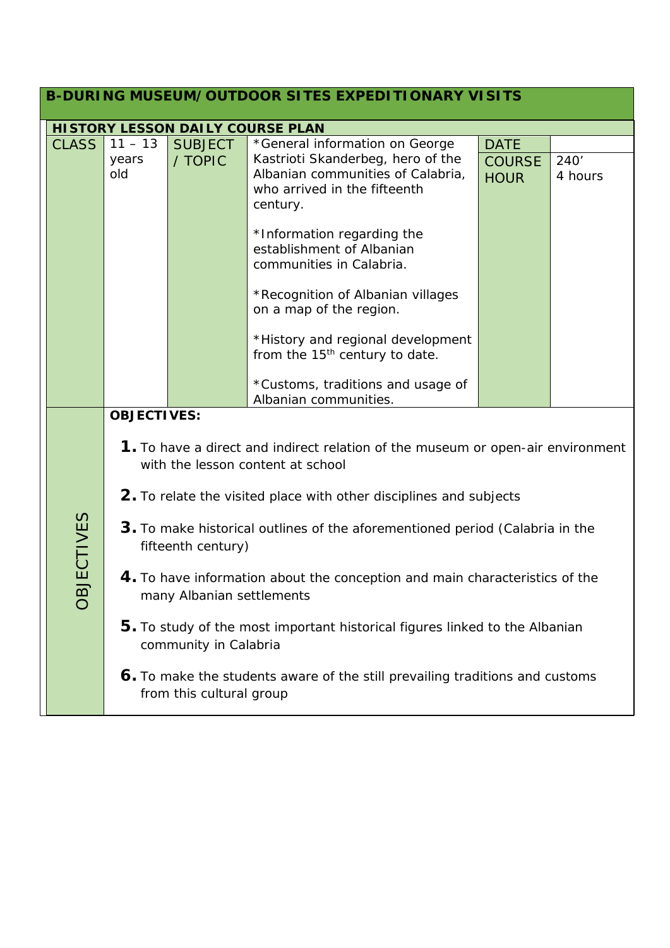|                                                                                                      |                   |                                                                                                                                            |                                         | <b>B-DURING MUSEUM/OUTDOOR SITES EXPEDITIONARY VISITS</b>                                                                                                                          |                                             |                 |  |
|------------------------------------------------------------------------------------------------------|-------------------|--------------------------------------------------------------------------------------------------------------------------------------------|-----------------------------------------|------------------------------------------------------------------------------------------------------------------------------------------------------------------------------------|---------------------------------------------|-----------------|--|
|                                                                                                      |                   |                                                                                                                                            | <b>HISTORY LESSON DAILY COURSE PLAN</b> |                                                                                                                                                                                    |                                             |                 |  |
|                                                                                                      | <b>CLASS</b>      | $11 - 13$<br>years<br>old                                                                                                                  | <b>SUBJECT</b><br>/ TOPIC               | *General information on George<br>Kastrioti Skanderbeg, hero of the<br>Albanian communities of Calabria,<br>who arrived in the fifteenth<br>century.<br>*Information regarding the | <b>DATE</b><br><b>COURSE</b><br><b>HOUR</b> | 240'<br>4 hours |  |
|                                                                                                      |                   |                                                                                                                                            |                                         | establishment of Albanian<br>communities in Calabria.<br>*Recognition of Albanian villages<br>on a map of the region.                                                              |                                             |                 |  |
|                                                                                                      |                   |                                                                                                                                            |                                         | *History and regional development<br>from the 15 <sup>th</sup> century to date.<br>*Customs, traditions and usage of                                                               |                                             |                 |  |
|                                                                                                      |                   |                                                                                                                                            |                                         | Albanian communities.                                                                                                                                                              |                                             |                 |  |
|                                                                                                      |                   | <b>OBJECTIVES:</b><br>1. To have a direct and indirect relation of the museum or open-air environment<br>with the lesson content at school |                                         |                                                                                                                                                                                    |                                             |                 |  |
|                                                                                                      |                   | 2. To relate the visited place with other disciplines and subjects                                                                         |                                         |                                                                                                                                                                                    |                                             |                 |  |
|                                                                                                      |                   | 3. To make historical outlines of the aforementioned period (Calabria in the<br>fifteenth century)                                         |                                         |                                                                                                                                                                                    |                                             |                 |  |
|                                                                                                      | <b>OBJECTIVES</b> | 4. To have information about the conception and main characteristics of the<br>many Albanian settlements                                   |                                         |                                                                                                                                                                                    |                                             |                 |  |
| 5. To study of the most important historical figures linked to the Albanian<br>community in Calabria |                   |                                                                                                                                            |                                         |                                                                                                                                                                                    |                                             |                 |  |
|                                                                                                      |                   |                                                                                                                                            | from this cultural group                | 6. To make the students aware of the still prevailing traditions and customs                                                                                                       |                                             |                 |  |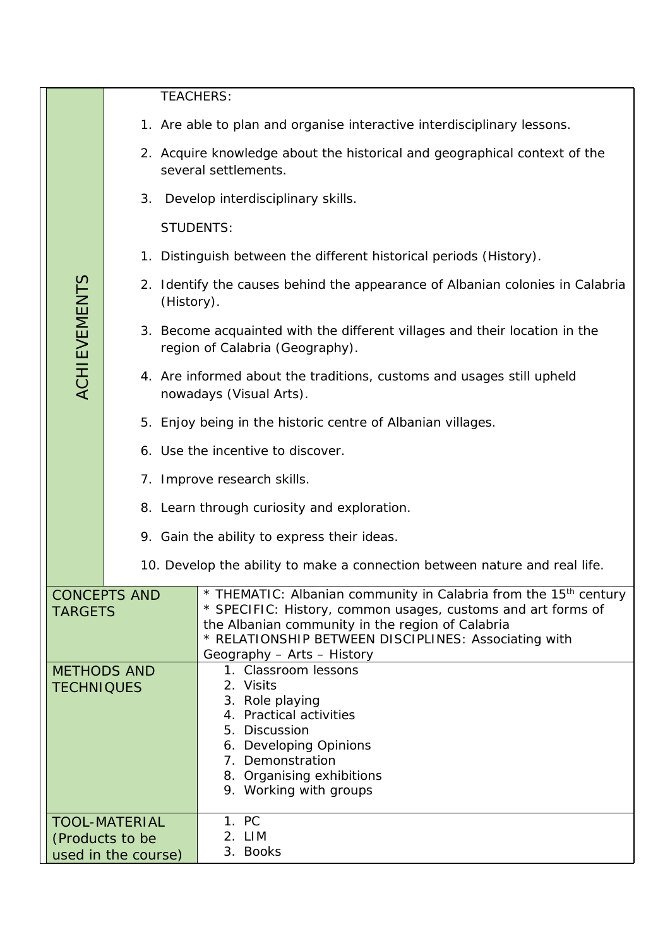|                                       |                                         | <b>TEACHERS:</b>                                               |                                                                                                                                                                                                                                                                                        |  |  |  |
|---------------------------------------|-----------------------------------------|----------------------------------------------------------------|----------------------------------------------------------------------------------------------------------------------------------------------------------------------------------------------------------------------------------------------------------------------------------------|--|--|--|
|                                       |                                         |                                                                | 1. Are able to plan and organise interactive interdisciplinary lessons.                                                                                                                                                                                                                |  |  |  |
|                                       |                                         |                                                                | 2. Acquire knowledge about the historical and geographical context of the<br>several settlements.                                                                                                                                                                                      |  |  |  |
|                                       |                                         | 3.                                                             | Develop interdisciplinary skills.                                                                                                                                                                                                                                                      |  |  |  |
|                                       |                                         | <b>STUDENTS:</b>                                               |                                                                                                                                                                                                                                                                                        |  |  |  |
|                                       |                                         |                                                                | 1. Distinguish between the different historical periods (History).                                                                                                                                                                                                                     |  |  |  |
|                                       | <b>ACHIEVEMENTS</b>                     | (History).                                                     | 2. Identify the causes behind the appearance of Albanian colonies in Calabria                                                                                                                                                                                                          |  |  |  |
|                                       |                                         |                                                                | 3. Become acquainted with the different villages and their location in the<br>region of Calabria (Geography).                                                                                                                                                                          |  |  |  |
|                                       |                                         |                                                                | 4. Are informed about the traditions, customs and usages still upheld<br>nowadays (Visual Arts).                                                                                                                                                                                       |  |  |  |
|                                       |                                         |                                                                | 5. Enjoy being in the historic centre of Albanian villages.                                                                                                                                                                                                                            |  |  |  |
|                                       |                                         |                                                                | 6. Use the incentive to discover.                                                                                                                                                                                                                                                      |  |  |  |
|                                       |                                         |                                                                | 7. Improve research skills.                                                                                                                                                                                                                                                            |  |  |  |
|                                       |                                         |                                                                | 8. Learn through curiosity and exploration.                                                                                                                                                                                                                                            |  |  |  |
|                                       |                                         |                                                                | 9. Gain the ability to express their ideas.                                                                                                                                                                                                                                            |  |  |  |
|                                       |                                         |                                                                | 10. Develop the ability to make a connection between nature and real life.                                                                                                                                                                                                             |  |  |  |
| <b>CONCEPTS AND</b><br><b>TARGETS</b> |                                         |                                                                | * THEMATIC: Albanian community in Calabria from the 15 <sup>th</sup> century<br>* SPECIFIC: History, common usages, customs and art forms of<br>the Albanian community in the region of Calabria<br>* RELATIONSHIP BETWEEN DISCIPLINES: Associating with<br>Geography - Arts - History |  |  |  |
|                                       | <b>METHODS AND</b><br><b>TECHNIQUES</b> |                                                                | 1. Classroom lessons<br>2. Visits<br>3. Role playing<br>4. Practical activities<br>5. Discussion<br>6. Developing Opinions<br>7. Demonstration<br>8. Organising exhibitions<br>9. Working with groups                                                                                  |  |  |  |
|                                       |                                         | <b>TOOL-MATERIAL</b><br>(Products to be<br>used in the course) | 1. PC<br>2. LIM<br>3. Books                                                                                                                                                                                                                                                            |  |  |  |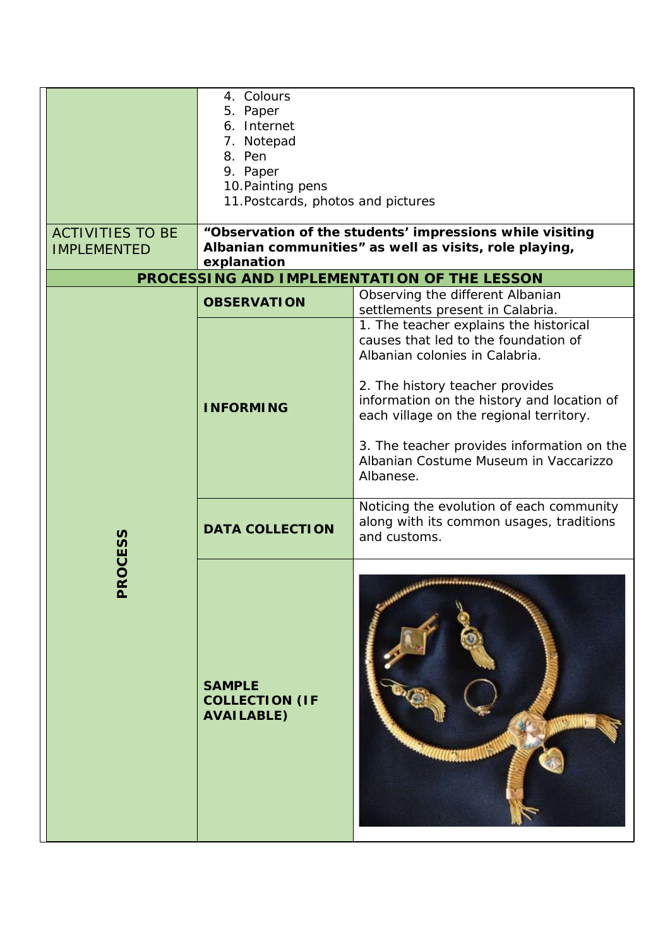|                                               | 4. Colours<br>5. Paper<br>6. Internet<br>7. Notepad<br>8. Pen<br>9. Paper<br>10. Painting pens<br>11. Postcards, photos and pictures |                                                                                                                          |
|-----------------------------------------------|--------------------------------------------------------------------------------------------------------------------------------------|--------------------------------------------------------------------------------------------------------------------------|
| <b>ACTIVITIES TO BE</b><br><b>IMPLEMENTED</b> |                                                                                                                                      | "Observation of the students' impressions while visiting<br>Albanian communities" as well as visits, role playing,       |
|                                               | explanation                                                                                                                          | PROCESSING AND IMPLEMENTATION OF THE LESSON                                                                              |
|                                               |                                                                                                                                      | Observing the different Albanian                                                                                         |
|                                               | <b>OBSERVATION</b>                                                                                                                   | settlements present in Calabria.                                                                                         |
|                                               |                                                                                                                                      | 1. The teacher explains the historical<br>causes that led to the foundation of<br>Albanian colonies in Calabria.         |
|                                               | <b>INFORMING</b>                                                                                                                     | 2. The history teacher provides<br>information on the history and location of<br>each village on the regional territory. |
|                                               |                                                                                                                                      | 3. The teacher provides information on the<br>Albanian Costume Museum in Vaccarizzo<br>Albanese.                         |
|                                               | <b>DATA COLLECTION</b>                                                                                                               | Noticing the evolution of each community<br>along with its common usages, traditions<br>and customs.                     |
| <b>ROCESS</b><br>$\overline{\mathbf{a}}$      | <b>SAMPLE</b><br><b>COLLECTION (IF</b><br><b>AVAILABLE)</b>                                                                          | 117777777777777744444444422                                                                                              |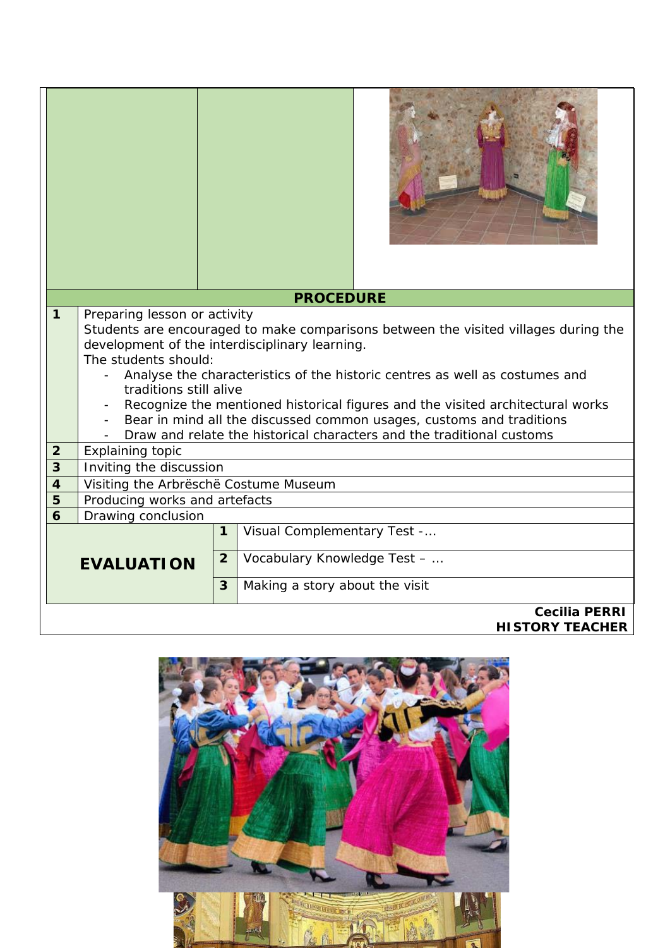|                         |                                                                                                                                                        |                | <b>PROCEDURE</b>                                                                    |  |  |
|-------------------------|--------------------------------------------------------------------------------------------------------------------------------------------------------|----------------|-------------------------------------------------------------------------------------|--|--|
| $\mathbf{1}$            | Preparing lesson or activity                                                                                                                           |                |                                                                                     |  |  |
|                         |                                                                                                                                                        |                | Students are encouraged to make comparisons between the visited villages during the |  |  |
|                         | development of the interdisciplinary learning.                                                                                                         |                |                                                                                     |  |  |
|                         | The students should:                                                                                                                                   |                |                                                                                     |  |  |
|                         |                                                                                                                                                        |                | Analyse the characteristics of the historic centres as well as costumes and         |  |  |
|                         | traditions still alive                                                                                                                                 |                |                                                                                     |  |  |
|                         | Recognize the mentioned historical figures and the visited architectural works<br>Bear in mind all the discussed common usages, customs and traditions |                |                                                                                     |  |  |
|                         |                                                                                                                                                        |                | Draw and relate the historical characters and the traditional customs               |  |  |
| $\overline{2}$          | Explaining topic                                                                                                                                       |                |                                                                                     |  |  |
| $\overline{3}$          | Inviting the discussion                                                                                                                                |                |                                                                                     |  |  |
| $\overline{\mathbf{4}}$ | Visiting the Arbrëschë Costume Museum                                                                                                                  |                |                                                                                     |  |  |
| 5                       | Producing works and artefacts                                                                                                                          |                |                                                                                     |  |  |
| $\overline{6}$          | Drawing conclusion                                                                                                                                     |                |                                                                                     |  |  |
|                         |                                                                                                                                                        | $\mathbf{1}$   | Visual Complementary Test -                                                         |  |  |
|                         |                                                                                                                                                        | $\overline{2}$ |                                                                                     |  |  |
| <b>EVALUATION</b>       |                                                                                                                                                        |                | Vocabulary Knowledge Test -                                                         |  |  |
|                         |                                                                                                                                                        | 3              | Making a story about the visit                                                      |  |  |
|                         | <b>Cecilia PERRI</b>                                                                                                                                   |                |                                                                                     |  |  |
|                         |                                                                                                                                                        |                | <b>HISTORY TEACHER</b>                                                              |  |  |